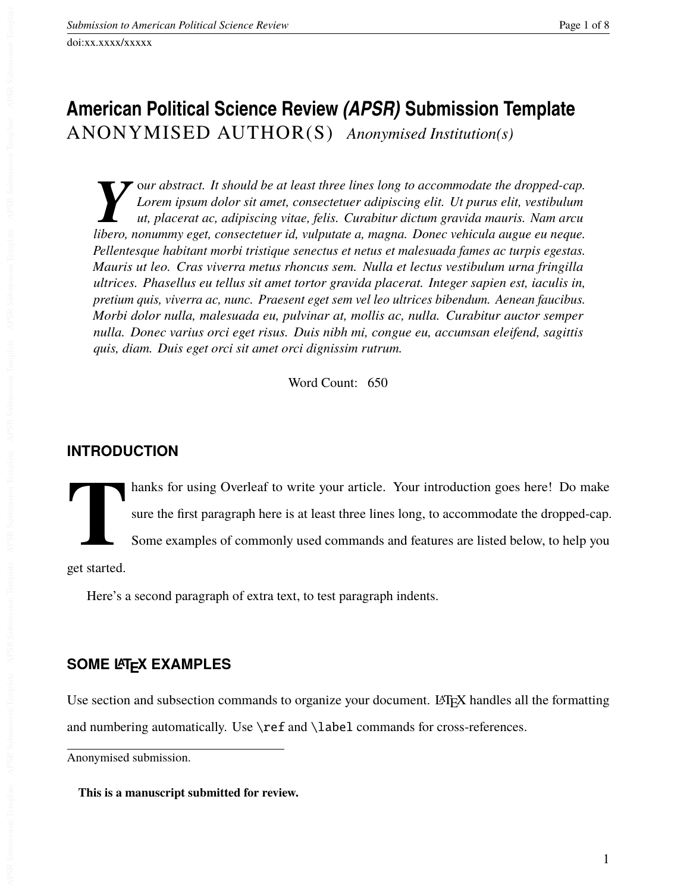doi:xx.xxxx/xxxxx

# **American Political Science Review** *(APSR)* **Submission Template** ANONYMISED AUTHOR(S) *Anonymised Institution(s)*

*Y* our abstract. It should be at least three lines long to accommodate the dropped-cap.<br> *Lorem ipsum dolor sit amet, consectetuer adipiscing elit. Ut purus elit, vestibulum*<br> *ut, placerat ac, adipiscing vitae, felis. Cu* o*ur abstract. It should be at least three lines long to accommodate the dropped-cap. Lorem ipsum dolor sit amet, consectetuer adipiscing elit. Ut purus elit, vestibulum ut, placerat ac, adipiscing vitae, felis. Curabitur dictum gravida mauris. Nam arcu Pellentesque habitant morbi tristique senectus et netus et malesuada fames ac turpis egestas. Mauris ut leo. Cras viverra metus rhoncus sem. Nulla et lectus vestibulum urna fringilla ultrices. Phasellus eu tellus sit amet tortor gravida placerat. Integer sapien est, iaculis in, pretium quis, viverra ac, nunc. Praesent eget sem vel leo ultrices bibendum. Aenean faucibus. Morbi dolor nulla, malesuada eu, pulvinar at, mollis ac, nulla. Curabitur auctor semper nulla. Donec varius orci eget risus. Duis nibh mi, congue eu, accumsan eleifend, sagittis quis, diam. Duis eget orci sit amet orci dignissim rutrum.*

Word Count: 650

## **INTRODUCTION**

**T** hanks for using Overleaf to write your article. Your introduction goes here! Do make sure the first paragraph here is at least three lines long, to accommodate the dropped-cap. Some examples of commonly used commands and features are listed below, to help you

get started.

Here's a second paragraph of extra text, to test paragraph indents.

## **SOME LATEX EXAMPLES**

Use section and subsection commands to organize your document. LATEX handles all the formatting and numbering automatically. Use \ref and \label commands for cross-references.

Anonymised submission.

**This is a manuscript submitted for review.**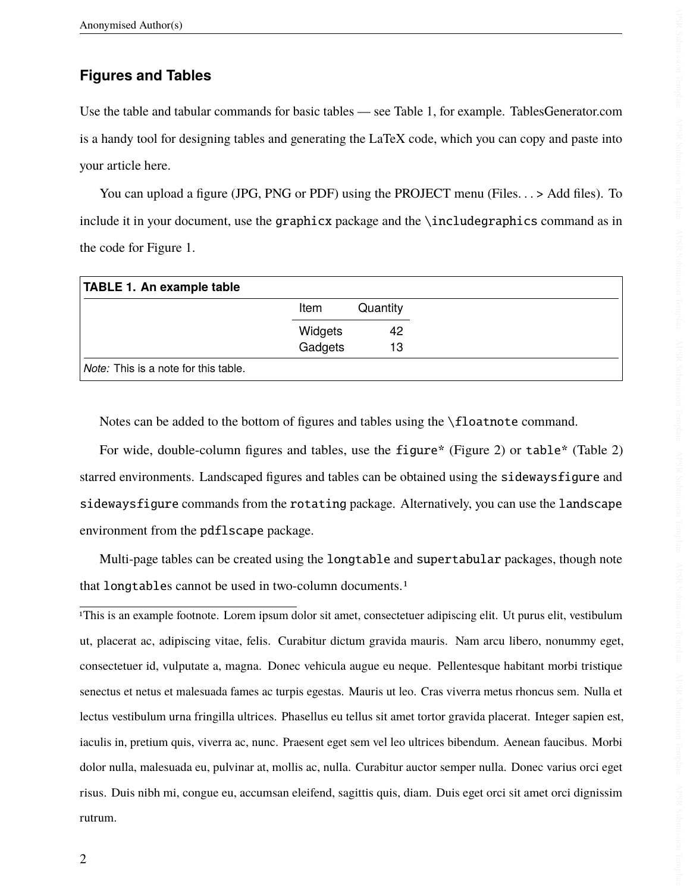#### **Figures and Tables**

Use the table and tabular commands for basic tables — see Table [1,](#page-1-0) for example. [TablesGenerator.com](http://tablesgenerator.com) is a handy tool for designing tables and generating the LaTeX code, which you can copy and paste into your article here.

You can upload a figure (JPG, PNG or PDF) using the PROJECT menu (Files. . . > Add files). To include it in your document, use the graphicx package and the \includegraphics command as in the code for Figure [1.](#page-2-0)

<span id="page-1-0"></span>

| TABLE 1. An example table                   |         |          |
|---------------------------------------------|---------|----------|
|                                             | Item    | Quantity |
|                                             | Widgets | 42       |
|                                             | Gadgets | 13       |
| <i>Note:</i> This is a note for this table. |         |          |

Notes can be added to the bottom of figures and tables using the \floatnote command.

For wide, double-column figures and tables, use the figure\* (Figure [2\)](#page-3-0) or table\* (Table 2) starred environments. Landscaped figures and tables can be obtained using the sidewaysfigure and sidewaysfigure commands from the rotating package. Alternatively, you can use the landscape environment from the pdflscape package.

Multi-page tables can be created using the longtable and supertabular packages, though note that longtables cannot be used in two-column documents.[1](#page-1-1)

<span id="page-1-1"></span>1This is an example footnote. Lorem ipsum dolor sit amet, consectetuer adipiscing elit. Ut purus elit, vestibulum ut, placerat ac, adipiscing vitae, felis. Curabitur dictum gravida mauris. Nam arcu libero, nonummy eget, consectetuer id, vulputate a, magna. Donec vehicula augue eu neque. Pellentesque habitant morbi tristique senectus et netus et malesuada fames ac turpis egestas. Mauris ut leo. Cras viverra metus rhoncus sem. Nulla et lectus vestibulum urna fringilla ultrices. Phasellus eu tellus sit amet tortor gravida placerat. Integer sapien est, iaculis in, pretium quis, viverra ac, nunc. Praesent eget sem vel leo ultrices bibendum. Aenean faucibus. Morbi dolor nulla, malesuada eu, pulvinar at, mollis ac, nulla. Curabitur auctor semper nulla. Donec varius orci eget risus. Duis nibh mi, congue eu, accumsan eleifend, sagittis quis, diam. Duis eget orci sit amet orci dignissim rutrum.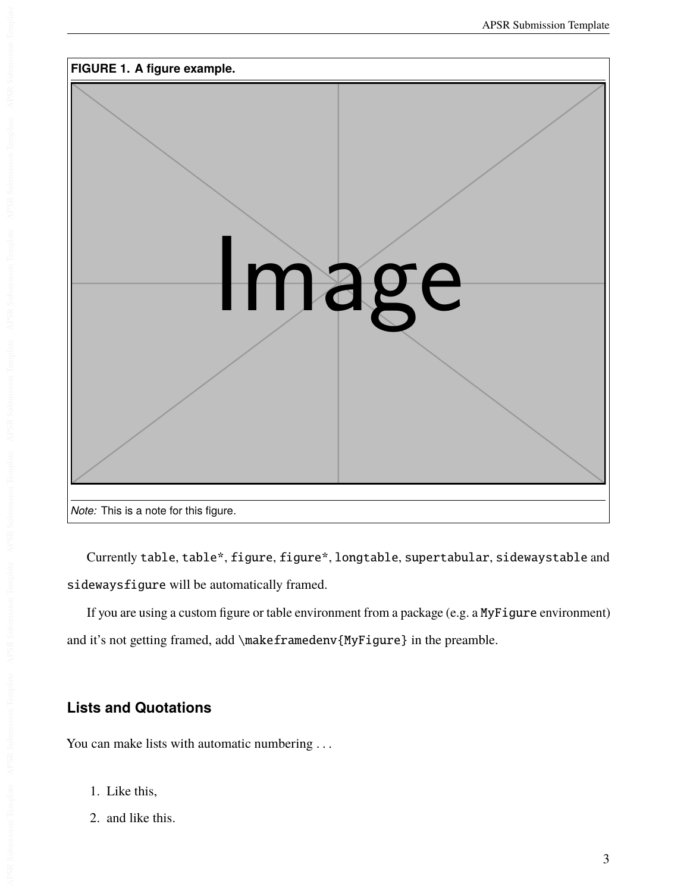<span id="page-2-0"></span>

Currently table, table\*, figure, figure\*, longtable, supertabular, sidewaystable and sidewaysfigure will be automatically framed.

If you are using a custom figure or table environment from a package (e.g. a MyFigure environment) and it's not getting framed, add \makeframedenv{MyFigure} in the preamble.

## **Lists and Quotations**

You can make lists with automatic numbering ...

- 1. Like this,
- 2. and like this.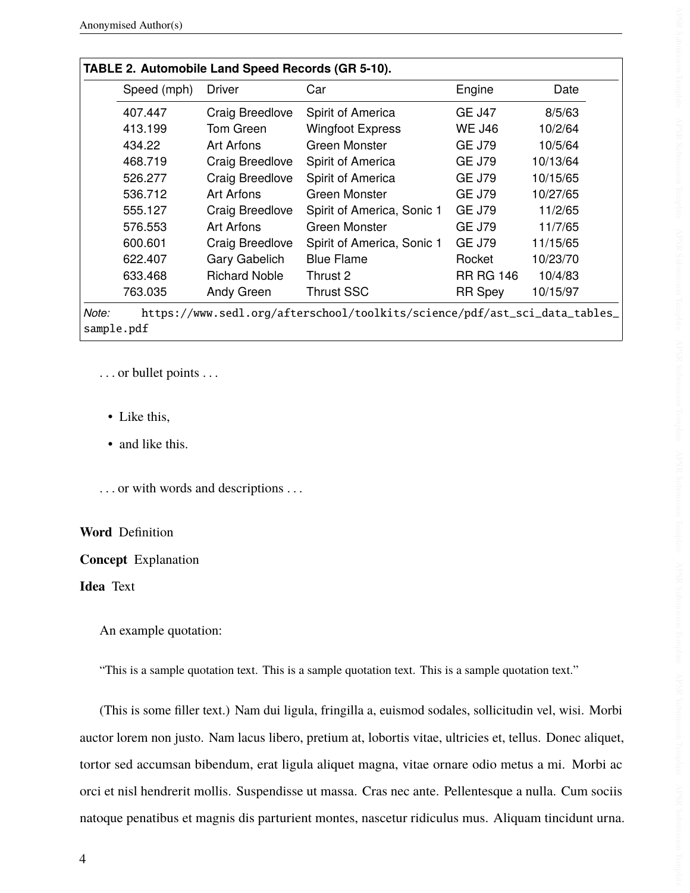<span id="page-3-0"></span>

| Speed (mph) | <b>Driver</b>        | Car                        | Engine           | Date     |  |
|-------------|----------------------|----------------------------|------------------|----------|--|
|             |                      |                            |                  |          |  |
| 407.447     | Craig Breedlove      | Spirit of America          | <b>GE J47</b>    | 8/5/63   |  |
| 413.199     | Tom Green            | <b>Wingfoot Express</b>    | <b>WE J46</b>    | 10/2/64  |  |
| 434.22      | Art Arfons           | Green Monster              | <b>GE J79</b>    | 10/5/64  |  |
| 468.719     | Craig Breedlove      | Spirit of America          | <b>GE J79</b>    | 10/13/64 |  |
| 526.277     | Craig Breedlove      | Spirit of America          | <b>GE J79</b>    | 10/15/65 |  |
| 536.712     | Art Arfons           | Green Monster              | <b>GE J79</b>    | 10/27/65 |  |
| 555.127     | Craig Breedlove      | Spirit of America, Sonic 1 | <b>GE J79</b>    | 11/2/65  |  |
| 576.553     | Art Arfons           | Green Monster              | <b>GE J79</b>    | 11/7/65  |  |
| 600.601     | Craig Breedlove      | Spirit of America, Sonic 1 | <b>GE J79</b>    | 11/15/65 |  |
| 622.407     | Gary Gabelich        | <b>Blue Flame</b>          | Rocket           | 10/23/70 |  |
| 633.468     | <b>Richard Noble</b> | Thrust 2                   | <b>RR RG 146</b> | 10/4/83  |  |
| 763.035     | Andy Green           | <b>Thrust SSC</b>          | <b>RR Spey</b>   | 10/15/97 |  |

*Note:* [https://www.sedl.org/afterschool/toolkits/science/pdf/ast\\_sci\\_data\\_tables\\_](https://www.sedl.org/afterschool/toolkits/science/pdf/ast_sci_data_tables_sample.pdf) [sample.pdf](https://www.sedl.org/afterschool/toolkits/science/pdf/ast_sci_data_tables_sample.pdf)

. . . or bullet points . . .

- Like this,
- and like this.

. . . or with words and descriptions . . .

#### **Word** Definition

**Concept** Explanation

**Idea** Text

An example quotation:

"This is a sample quotation text. This is a sample quotation text. This is a sample quotation text."

(This is some filler text.) Nam dui ligula, fringilla a, euismod sodales, sollicitudin vel, wisi. Morbi auctor lorem non justo. Nam lacus libero, pretium at, lobortis vitae, ultricies et, tellus. Donec aliquet, tortor sed accumsan bibendum, erat ligula aliquet magna, vitae ornare odio metus a mi. Morbi ac orci et nisl hendrerit mollis. Suspendisse ut massa. Cras nec ante. Pellentesque a nulla. Cum sociis natoque penatibus et magnis dis parturient montes, nascetur ridiculus mus. Aliquam tincidunt urna.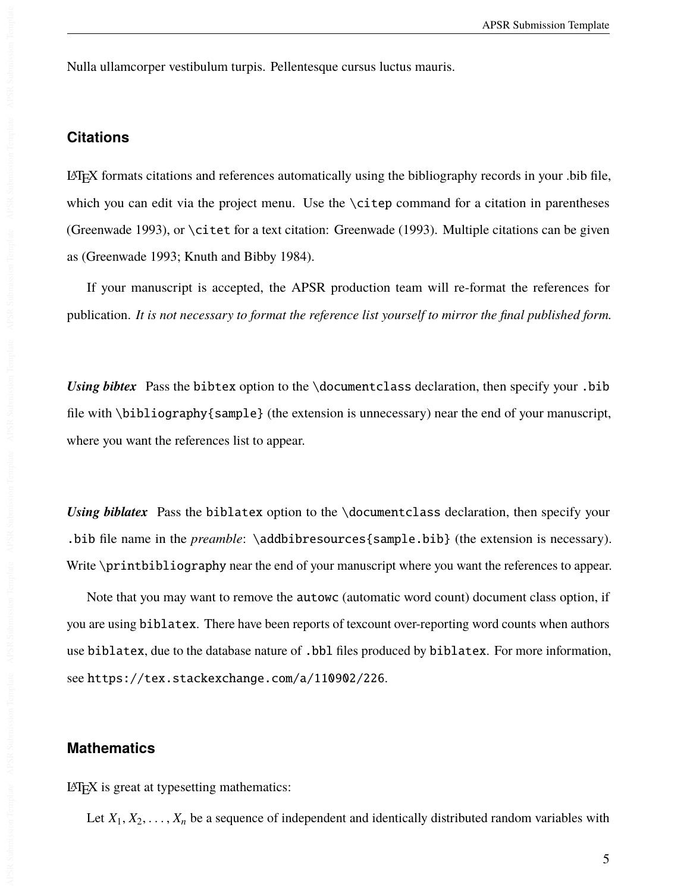Nulla ullamcorper vestibulum turpis. Pellentesque cursus luctus mauris.

#### **Citations**

LATEX formats citations and references automatically using the bibliography records in your .bib file, which you can edit via the project menu. Use the \citep command for a citation in parentheses [\(Greenwade 1993\)](#page-6-0), or \citet for a text citation: [Greenwade](#page-6-0) [\(1993\)](#page-6-0). Multiple citations can be given as [\(Greenwade 1993;](#page-6-0) [Knuth and Bibby 1984\)](#page-6-1).

If your manuscript is accepted, the APSR production team will re-format the references for publication. *It is not necessary to format the reference list yourself to mirror the final published form.*

*Using bibtex* Pass the bibtex option to the \documentclass declaration, then specify your .bib file with \bibliography{sample} (the extension is unnecessary) near the end of your manuscript, where you want the references list to appear.

*Using biblatex* Pass the biblatex option to the \documentclass declaration, then specify your .bib file name in the *preamble*: \addbibresources{sample.bib} (the extension is necessary). Write \printbibliography near the end of your manuscript where you want the references to appear.

Note that you may want to remove the autowc (automatic word count) document class option, if you are using biblatex. There have been reports of texcount over-reporting word counts when authors use biblatex, due to the database nature of .bbl files produced by biblatex. For more information, see <https://tex.stackexchange.com/a/110902/226>.

#### **Mathematics**

LATEX is great at typesetting mathematics:

Let  $X_1, X_2, \ldots, X_n$  be a sequence of independent and identically distributed random variables with

5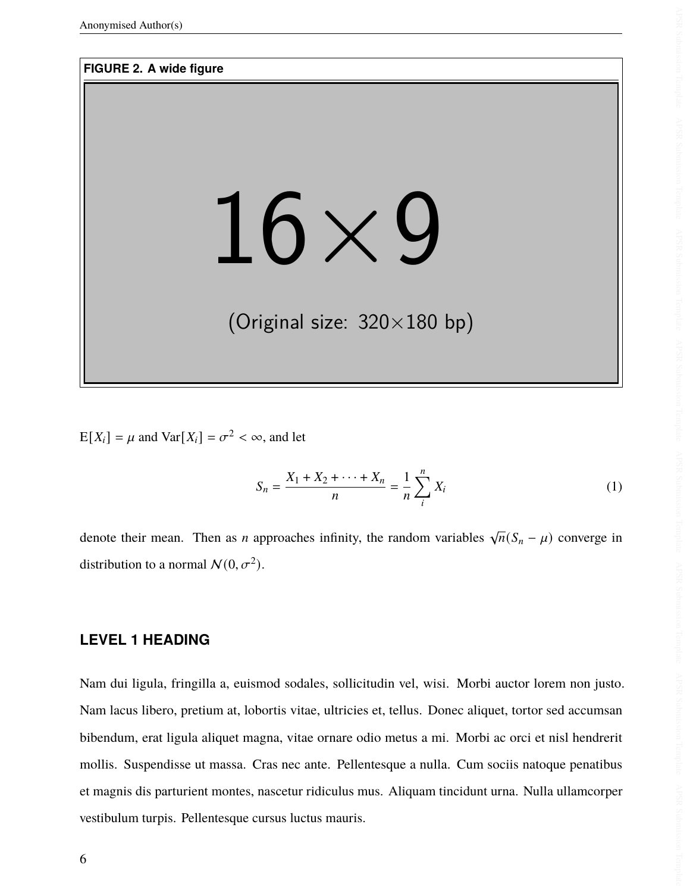#### <span id="page-5-0"></span>**FIGURE 2. A wide figure**

# 16×9

# (Original size: 320×180 bp)

 $E[X_i] = \mu$  and  $Var[X_i] = \sigma^2 < \infty$ , and let

$$
S_n = \frac{X_1 + X_2 + \dots + X_n}{n} = \frac{1}{n} \sum_{i=1}^{n} X_i
$$
 (1)

denote their mean. Then as *n* approaches infinity, the random variables  $\sqrt{n}(S_n - \mu)$  converge in distribution to a normal  $\mathcal{N}(0, \sigma^2)$ .

#### **LEVEL 1 HEADING**

Nam dui ligula, fringilla a, euismod sodales, sollicitudin vel, wisi. Morbi auctor lorem non justo. Nam lacus libero, pretium at, lobortis vitae, ultricies et, tellus. Donec aliquet, tortor sed accumsan bibendum, erat ligula aliquet magna, vitae ornare odio metus a mi. Morbi ac orci et nisl hendrerit mollis. Suspendisse ut massa. Cras nec ante. Pellentesque a nulla. Cum sociis natoque penatibus et magnis dis parturient montes, nascetur ridiculus mus. Aliquam tincidunt urna. Nulla ullamcorper vestibulum turpis. Pellentesque cursus luctus mauris.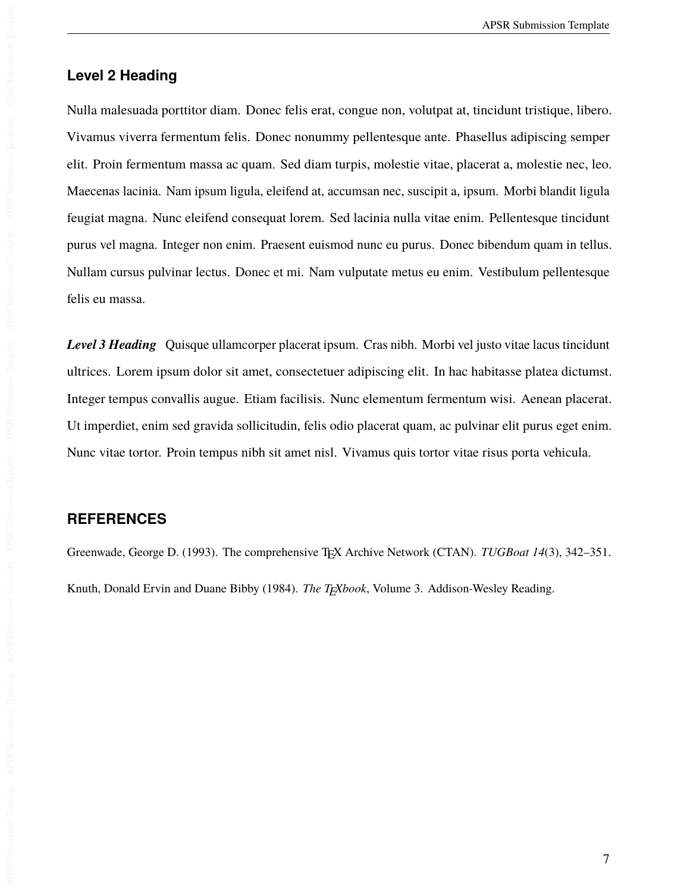#### **Level 2 Heading**

Nulla malesuada porttitor diam. Donec felis erat, congue non, volutpat at, tincidunt tristique, libero. Vivamus viverra fermentum felis. Donec nonummy pellentesque ante. Phasellus adipiscing semper elit. Proin fermentum massa ac quam. Sed diam turpis, molestie vitae, placerat a, molestie nec, leo. Maecenas lacinia. Nam ipsum ligula, eleifend at, accumsan nec, suscipit a, ipsum. Morbi blandit ligula feugiat magna. Nunc eleifend consequat lorem. Sed lacinia nulla vitae enim. Pellentesque tincidunt purus vel magna. Integer non enim. Praesent euismod nunc eu purus. Donec bibendum quam in tellus. Nullam cursus pulvinar lectus. Donec et mi. Nam vulputate metus eu enim. Vestibulum pellentesque felis eu massa.

*Level 3 Heading* Quisque ullamcorper placerat ipsum. Cras nibh. Morbi vel justo vitae lacus tincidunt ultrices. Lorem ipsum dolor sit amet, consectetuer adipiscing elit. In hac habitasse platea dictumst. Integer tempus convallis augue. Etiam facilisis. Nunc elementum fermentum wisi. Aenean placerat. Ut imperdiet, enim sed gravida sollicitudin, felis odio placerat quam, ac pulvinar elit purus eget enim. Nunc vitae tortor. Proin tempus nibh sit amet nisl. Vivamus quis tortor vitae risus porta vehicula.

#### **REFERENCES**

<span id="page-6-1"></span><span id="page-6-0"></span>Greenwade, George D. (1993). The comprehensive T<sub>E</sub>X Archive Network (CTAN). *TUGBoat 14*(3), 342-351. Knuth, Donald Ervin and Duane Bibby (1984). *The TFXbook*, Volume 3. Addison-Wesley Reading.